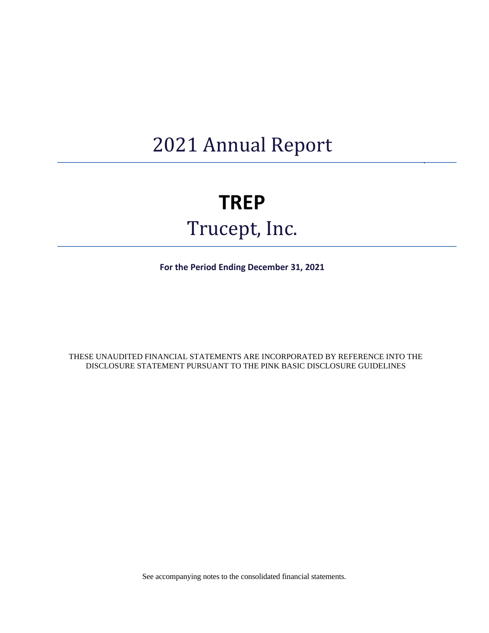## 2021 Annual Report

## **TREP**

# Trucept, Inc.

**For the Period Ending December 31, 2021**

THESE UNAUDITED FINANCIAL STATEMENTS ARE INCORPORATED BY REFERENCE INTO THE DISCLOSURE STATEMENT PURSUANT TO THE PINK BASIC DISCLOSURE GUIDELINES

See accompanying notes to the consolidated financial statements.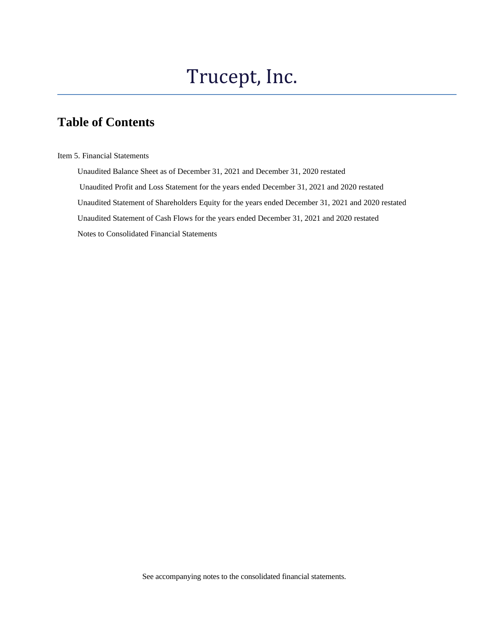## Trucept, Inc.

## **Table of Contents**

Item 5. Financial Statements

 Unaudited Balance Sheet as of December 31, 2021 and December 31, 2020 restated Unaudited Profit and Loss Statement for the years ended December 31, 2021 and 2020 restated Unaudited Statement of Shareholders Equity for the years ended December 31, 2021 and 2020 restated Unaudited Statement of Cash Flows for the years ended December 31, 2021 and 2020 restated Notes to Consolidated Financial Statements

See accompanying notes to the consolidated financial statements.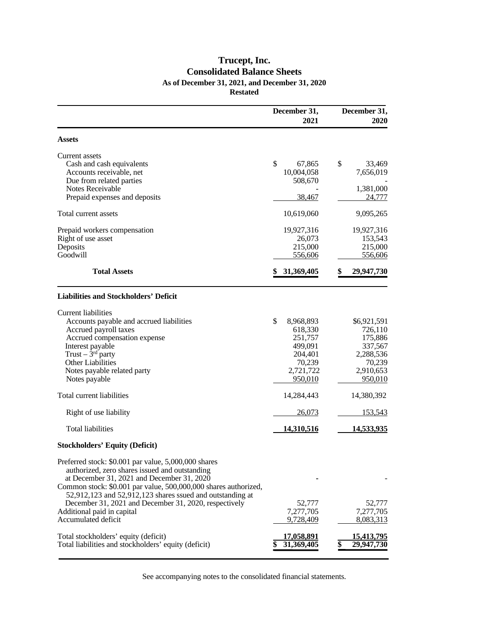### **Trucept, Inc. Consolidated Balance Sheets As of December 31, 2021, and December 31, 2020 Restated**

|                                                                                                                                                                                                                                                                                                                                                                                                    | December 31,<br>2021                                                                          | December 31,<br>2020                                                                        |
|----------------------------------------------------------------------------------------------------------------------------------------------------------------------------------------------------------------------------------------------------------------------------------------------------------------------------------------------------------------------------------------------------|-----------------------------------------------------------------------------------------------|---------------------------------------------------------------------------------------------|
| <b>Assets</b>                                                                                                                                                                                                                                                                                                                                                                                      |                                                                                               |                                                                                             |
| Current assets<br>Cash and cash equivalents<br>Accounts receivable, net<br>Due from related parties<br>Notes Receivable<br>Prepaid expenses and deposits                                                                                                                                                                                                                                           | \$<br>67,865<br>10,004,058<br>508,670<br>38,467                                               | \$<br>33,469<br>7,656,019<br>1,381,000<br>24,777                                            |
| Total current assets                                                                                                                                                                                                                                                                                                                                                                               | 10,619,060                                                                                    | 9,095,265                                                                                   |
| Prepaid workers compensation<br>Right of use asset<br>Deposits<br>Goodwill<br><b>Total Assets</b>                                                                                                                                                                                                                                                                                                  | 19,927,316<br>26,073<br>215,000<br>556,606<br>31,369,405                                      | 19,927,316<br>153,543<br>215,000<br>556,606<br>29,947,730                                   |
|                                                                                                                                                                                                                                                                                                                                                                                                    |                                                                                               |                                                                                             |
| <b>Liabilities and Stockholders' Deficit</b>                                                                                                                                                                                                                                                                                                                                                       |                                                                                               |                                                                                             |
| <b>Current liabilities</b><br>Accounts payable and accrued liabilities<br>Accrued payroll taxes<br>Accrued compensation expense<br>Interest payable<br>Trust $-3rd$ party<br>Other Liabilities<br>Notes payable related party<br>Notes payable                                                                                                                                                     | \$<br>8,968,893<br>618,330<br>251,757<br>499,091<br>204,401<br>70,239<br>2,721,722<br>950,010 | \$6,921,591<br>726,110<br>175,886<br>337,567<br>2,288,536<br>70,239<br>2,910,653<br>950,010 |
| Total current liabilities                                                                                                                                                                                                                                                                                                                                                                          | 14,284,443                                                                                    | 14,380,392                                                                                  |
| Right of use liability                                                                                                                                                                                                                                                                                                                                                                             | 26,073                                                                                        | <u>153,543</u>                                                                              |
| <b>Total liabilities</b>                                                                                                                                                                                                                                                                                                                                                                           | 14,310,516                                                                                    | <u>14,533,935</u>                                                                           |
| <b>Stockholders' Equity (Deficit)</b>                                                                                                                                                                                                                                                                                                                                                              |                                                                                               |                                                                                             |
| Preferred stock: \$0.001 par value, 5,000,000 shares<br>authorized, zero shares issued and outstanding<br>at December 31, 2021 and December 31, 2020<br>Common stock: \$0.001 par value, 500,000,000 shares authorized,<br>52,912,123 and 52,912,123 shares ssued and outstanding at<br>December 31, 2021 and December 31, 2020, respectively<br>Additional paid in capital<br>Accumulated deficit | 52,777<br>7,277,705<br>9,728,409                                                              | 52,777<br>7,277,705<br>8,083,313                                                            |
| Total stockholders' equity (deficit)<br>Total liabilities and stockholders' equity (deficit)                                                                                                                                                                                                                                                                                                       | <u>17,058,891</u><br>31,369,405                                                               | 15,413,795<br>29,947,730                                                                    |

See accompanying notes to the consolidated financial statements.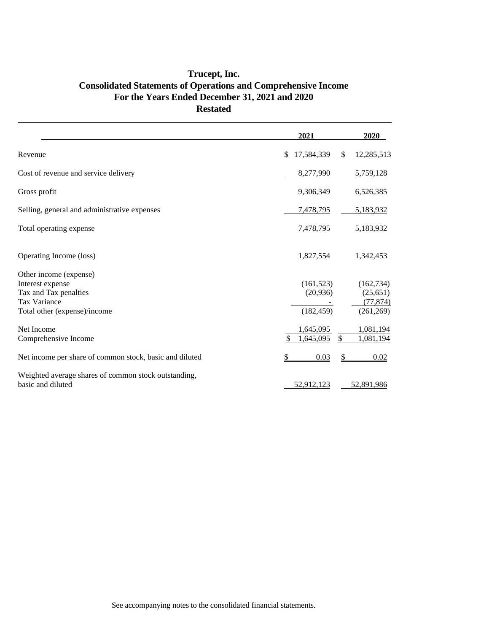### **Trucept, Inc. Consolidated Statements of Operations and Comprehensive Income For the Years Ended December 31, 2021 and 2020 Restated**

|                                                         | 2021                              | 2020       |
|---------------------------------------------------------|-----------------------------------|------------|
| Revenue                                                 | 17,584,339<br>\$<br><sup>\$</sup> | 12,285,513 |
| Cost of revenue and service delivery                    | 8,277,990                         | 5,759,128  |
| Gross profit                                            | 9,306,349                         | 6,526,385  |
| Selling, general and administrative expenses            | 7,478,795                         | 5,183,932  |
| Total operating expense                                 | 7,478,795                         | 5,183,932  |
| Operating Income (loss)                                 | 1,827,554                         | 1,342,453  |
| Other income (expense)                                  |                                   |            |
| Interest expense                                        | (161, 523)                        | (162, 734) |
| Tax and Tax penalties                                   | (20,936)                          | (25, 651)  |
| Tax Variance                                            |                                   | (77, 874)  |
| Total other (expense)/income                            | (182, 459)                        | (261, 269) |
| Net Income                                              | 1.645.095                         | 1,081,194  |
| Comprehensive Income                                    | 1,645,095<br>S                    | 1,081,194  |
| Net income per share of common stock, basic and diluted | 0.03                              | 0.02       |
| Weighted average shares of common stock outstanding,    |                                   |            |
| basic and diluted                                       | 52,912,123                        | 52,891,986 |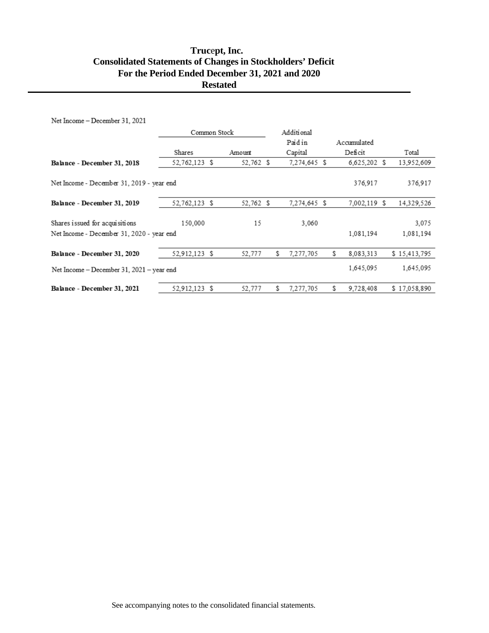### **Truc**e**pt, Inc. Consolidated Statements of Changes in Stockholders' Deficit For the Period Ended December 31, 2021 and 2020 Restated**

Net Income - December 31, 2021

|                                                                             | Common Stock  |  | Additional |    |              |  |                |                    |
|-----------------------------------------------------------------------------|---------------|--|------------|----|--------------|--|----------------|--------------------|
|                                                                             |               |  |            |    | Paidin       |  | Accumulated    |                    |
|                                                                             | Shares        |  | Amount     |    | Capital      |  | Deficit        | Total              |
| Balance - December 31, 2018                                                 | 52,762,123 \$ |  | 52,762 \$  |    | 7,274,645 \$ |  | $6,625,202$ \$ | 13,952,609         |
| Net Income - December 31, 2019 - year end                                   |               |  |            |    |              |  | 376,917        | 376,917            |
| Balance - December 31, 2019                                                 | 52,762,123 \$ |  | 52,762 \$  |    | 7,274,645 \$ |  | 7,002,119 \$   | 14,329,526         |
| Shares issued for acquisitions<br>Net Income - December 31, 2020 - year end | 150,000       |  | 15         |    | 3.060        |  | 1.081.194      | 3,075<br>1,081,194 |
|                                                                             |               |  |            |    |              |  |                |                    |
| Balance - December 31, 2020                                                 | 52.912.123 \$ |  | 52,777     | \$ | 7,277,705    |  | S<br>8.083.313 | \$15,413,795       |
| Net Income - December 31, 2021 - year end                                   |               |  |            |    |              |  | 1,645,095      | 1,645,095          |
| Balance - December 31, 2021                                                 | 52,912,123 \$ |  | 52,777     | \$ | 7,277,705    |  | 9,728,408      | \$17,058,890       |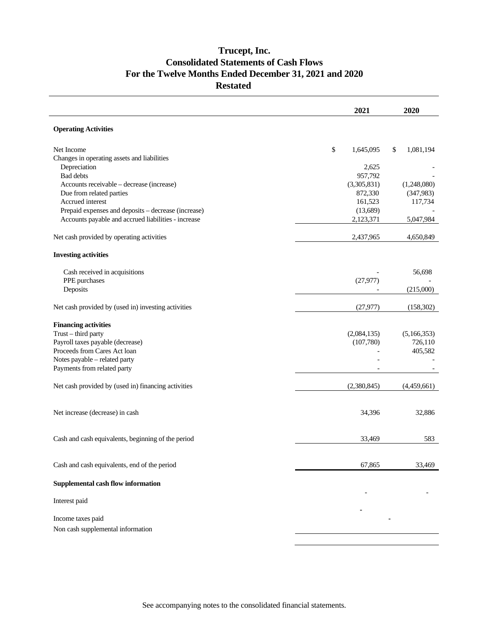### **Trucept, Inc. Consolidated Statements of Cash Flows For the Twelve Months Ended December 31, 2021 and 2020 Restated**

|                                                                                                                                | 2021                             | 2020                     |
|--------------------------------------------------------------------------------------------------------------------------------|----------------------------------|--------------------------|
| <b>Operating Activities</b>                                                                                                    |                                  |                          |
| Net Income<br>Changes in operating assets and liabilities                                                                      | \$<br>1,645,095                  | \$<br>1,081,194          |
| Depreciation<br>Bad debts                                                                                                      | 2,625<br>957,792                 |                          |
| Accounts receivable - decrease (increase)<br>Due from related parties                                                          | (3,305,831)<br>872,330           | (1,248,080)<br>(347,983) |
| Accrued interest<br>Prepaid expenses and deposits - decrease (increase)<br>Accounts payable and accrued liabilities - increase | 161,523<br>(13,689)<br>2,123,371 | 117,734<br>5,047,984     |
| Net cash provided by operating activities                                                                                      | 2,437,965                        | 4,650,849                |
| <b>Investing activities</b>                                                                                                    |                                  |                          |
| Cash received in acquisitions<br>PPE purchases                                                                                 |                                  | 56,698                   |
| Deposits                                                                                                                       | (27, 977)                        | (215,000)                |
| Net cash provided by (used in) investing activities                                                                            | (27, 977)                        | (158,302)                |
| <b>Financing activities</b><br>Trust - third party<br>Payroll taxes payable (decrease)                                         | (2,084,135)<br>(107,780)         | (5,166,353)<br>726,110   |
| Proceeds from Cares Act loan<br>Notes payable - related party<br>Payments from related party                                   |                                  | 405,582                  |
| Net cash provided by (used in) financing activities                                                                            | (2,380,845)                      | (4,459,661)              |
| Net increase (decrease) in cash                                                                                                | 34,396                           | 32,886                   |
| Cash and cash equivalents, beginning of the period                                                                             | 33,469                           | 583                      |
| Cash and cash equivalents, end of the period                                                                                   | 67,865                           | 33,469                   |
| Supplemental cash flow information                                                                                             |                                  |                          |
| Interest paid                                                                                                                  |                                  |                          |
| Income taxes paid<br>Non cash supplemental information                                                                         |                                  |                          |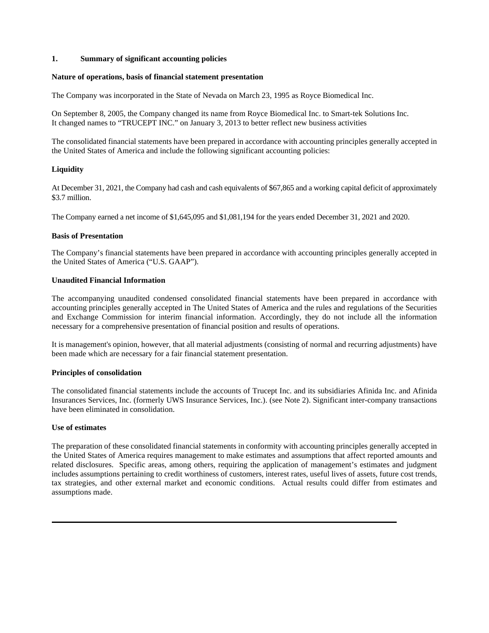#### **1. Summary of significant accounting policies**

#### **Nature of operations, basis of financial statement presentation**

The Company was incorporated in the State of Nevada on March 23, 1995 as Royce Biomedical Inc.

On September 8, 2005, the Company changed its name from Royce Biomedical Inc. to Smart-tek Solutions Inc. It changed names to "TRUCEPT INC." on January 3, 2013 to better reflect new business activities

The consolidated financial statements have been prepared in accordance with accounting principles generally accepted in the United States of America and include the following significant accounting policies:

#### **Liquidity**

At December 31, 2021, the Company had cash and cash equivalents of \$67,865 and a working capital deficit of approximately \$3.7 million.

The Company earned a net income of \$1,645,095 and \$1,081,194 for the years ended December 31, 2021 and 2020.

#### **Basis of Presentation**

The Company's financial statements have been prepared in accordance with accounting principles generally accepted in the United States of America ("U.S. GAAP").

#### **Unaudited Financial Information**

The accompanying unaudited condensed consolidated financial statements have been prepared in accordance with accounting principles generally accepted in The United States of America and the rules and regulations of the Securities and Exchange Commission for interim financial information. Accordingly, they do not include all the information necessary for a comprehensive presentation of financial position and results of operations.

It is management's opinion, however, that all material adjustments (consisting of normal and recurring adjustments) have been made which are necessary for a fair financial statement presentation.

#### **Principles of consolidation**

The consolidated financial statements include the accounts of Trucept Inc. and its subsidiaries Afinida Inc. and Afinida Insurances Services, Inc. (formerly UWS Insurance Services, Inc.). (see Note 2). Significant inter-company transactions have been eliminated in consolidation.

#### **Use of estimates**

The preparation of these consolidated financial statements in conformity with accounting principles generally accepted in the United States of America requires management to make estimates and assumptions that affect reported amounts and related disclosures. Specific areas, among others, requiring the application of management's estimates and judgment includes assumptions pertaining to credit worthiness of customers, interest rates, useful lives of assets, future cost trends, tax strategies, and other external market and economic conditions. Actual results could differ from estimates and assumptions made.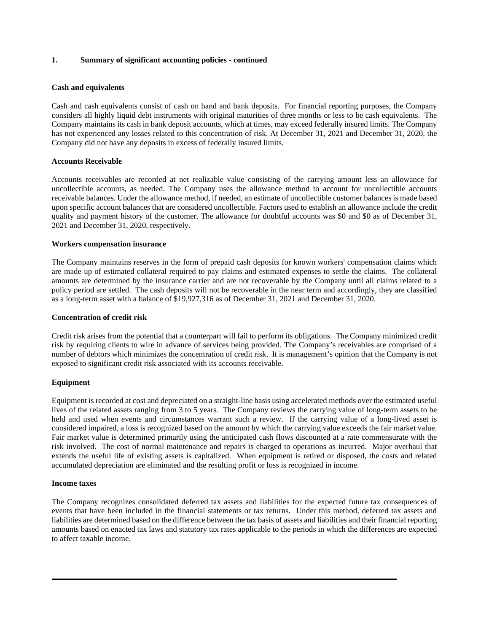#### **1. Summary of significant accounting policies - continued**

#### **Cash and equivalents**

Cash and cash equivalents consist of cash on hand and bank deposits. For financial reporting purposes, the Company considers all highly liquid debt instruments with original maturities of three months or less to be cash equivalents. The Company maintains its cash in bank deposit accounts, which at times, may exceed federally insured limits. The Company has not experienced any losses related to this concentration of risk. At December 31, 2021 and December 31, 2020, the Company did not have any deposits in excess of federally insured limits.

#### **Accounts Receivable**

Accounts receivables are recorded at net realizable value consisting of the carrying amount less an allowance for uncollectible accounts, as needed. The Company uses the allowance method to account for uncollectible accounts receivable balances. Under the allowance method, if needed, an estimate of uncollectible customer balances is made based upon specific account balances that are considered uncollectible. Factors used to establish an allowance include the credit quality and payment history of the customer. The allowance for doubtful accounts was \$0 and \$0 as of December 31, 2021 and December 31, 2020, respectively.

#### **Workers compensation insurance**

The Company maintains reserves in the form of prepaid cash deposits for known workers' compensation claims which are made up of estimated collateral required to pay claims and estimated expenses to settle the claims. The collateral amounts are determined by the insurance carrier and are not recoverable by the Company until all claims related to a policy period are settled. The cash deposits will not be recoverable in the near term and accordingly, they are classified as a long-term asset with a balance of \$19,927,316 as of December 31, 2021 and December 31, 2020.

#### **Concentration of credit risk**

Credit risk arises from the potential that a counterpart will fail to perform its obligations. The Company minimized credit risk by requiring clients to wire in advance of services being provided. The Company's receivables are comprised of a number of debtors which minimizes the concentration of credit risk. It is management's opinion that the Company is not exposed to significant credit risk associated with its accounts receivable.

#### **Equipment**

Equipment is recorded at cost and depreciated on a straight-line basis using accelerated methods over the estimated useful lives of the related assets ranging from 3 to 5 years. The Company reviews the carrying value of long-term assets to be held and used when events and circumstances warrant such a review. If the carrying value of a long-lived asset is considered impaired, a loss is recognized based on the amount by which the carrying value exceeds the fair market value. Fair market value is determined primarily using the anticipated cash flows discounted at a rate commensurate with the risk involved. The cost of normal maintenance and repairs is charged to operations as incurred. Major overhaul that extends the useful life of existing assets is capitalized. When equipment is retired or disposed, the costs and related accumulated depreciation are eliminated and the resulting profit or loss is recognized in income.

#### **Income taxes**

The Company recognizes consolidated deferred tax assets and liabilities for the expected future tax consequences of events that have been included in the financial statements or tax returns. Under this method, deferred tax assets and liabilities are determined based on the difference between the tax basis of assets and liabilities and their financial reporting amounts based on enacted tax laws and statutory tax rates applicable to the periods in which the differences are expected to affect taxable income.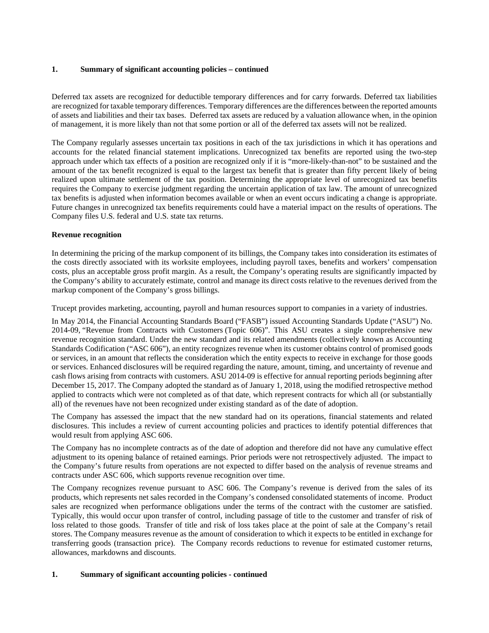#### **1. Summary of significant accounting policies – continued**

Deferred tax assets are recognized for deductible temporary differences and for carry forwards. Deferred tax liabilities are recognized for taxable temporary differences. Temporary differences are the differences between the reported amounts of assets and liabilities and their tax bases. Deferred tax assets are reduced by a valuation allowance when, in the opinion of management, it is more likely than not that some portion or all of the deferred tax assets will not be realized.

The Company regularly assesses uncertain tax positions in each of the tax jurisdictions in which it has operations and accounts for the related financial statement implications. Unrecognized tax benefits are reported using the two-step approach under which tax effects of a position are recognized only if it is "more-likely-than-not" to be sustained and the amount of the tax benefit recognized is equal to the largest tax benefit that is greater than fifty percent likely of being realized upon ultimate settlement of the tax position. Determining the appropriate level of unrecognized tax benefits requires the Company to exercise judgment regarding the uncertain application of tax law. The amount of unrecognized tax benefits is adjusted when information becomes available or when an event occurs indicating a change is appropriate. Future changes in unrecognized tax benefits requirements could have a material impact on the results of operations. The Company files U.S. federal and U.S. state tax returns.

#### **Revenue recognition**

In determining the pricing of the markup component of its billings, the Company takes into consideration its estimates of the costs directly associated with its worksite employees, including payroll taxes, benefits and workers' compensation costs, plus an acceptable gross profit margin. As a result, the Company's operating results are significantly impacted by the Company's ability to accurately estimate, control and manage its direct costs relative to the revenues derived from the markup component of the Company's gross billings.

Trucept provides marketing, accounting, payroll and human resources support to companies in a variety of industries.

In May 2014, the Financial Accounting Standards Board ("FASB") issued Accounting Standards Update ("ASU") No. 2014-09, "Revenue from Contracts with Customers (Topic 606)". This ASU creates a single comprehensive new revenue recognition standard. Under the new standard and its related amendments (collectively known as Accounting Standards Codification ("ASC 606"), an entity recognizes revenue when its customer obtains control of promised goods or services, in an amount that reflects the consideration which the entity expects to receive in exchange for those goods or services. Enhanced disclosures will be required regarding the nature, amount, timing, and uncertainty of revenue and cash flows arising from contracts with customers. ASU 2014-09 is effective for annual reporting periods beginning after December 15, 2017. The Company adopted the standard as of January 1, 2018, using the modified retrospective method applied to contracts which were not completed as of that date, which represent contracts for which all (or substantially all) of the revenues have not been recognized under existing standard as of the date of adoption.

The Company has assessed the impact that the new standard had on its operations, financial statements and related disclosures. This includes a review of current accounting policies and practices to identify potential differences that would result from applying ASC 606.

The Company has no incomplete contracts as of the date of adoption and therefore did not have any cumulative effect adjustment to its opening balance of retained earnings. Prior periods were not retrospectively adjusted. The impact to the Company's future results from operations are not expected to differ based on the analysis of revenue streams and contracts under ASC 606, which supports revenue recognition over time.

The Company recognizes revenue pursuant to ASC 606. The Company's revenue is derived from the sales of its products, which represents net sales recorded in the Company's condensed consolidated statements of income. Product sales are recognized when performance obligations under the terms of the contract with the customer are satisfied. Typically, this would occur upon transfer of control, including passage of title to the customer and transfer of risk of loss related to those goods. Transfer of title and risk of loss takes place at the point of sale at the Company's retail stores. The Company measures revenue as the amount of consideration to which it expects to be entitled in exchange for transferring goods (transaction price). The Company records reductions to revenue for estimated customer returns, allowances, markdowns and discounts.

#### **1. Summary of significant accounting policies - continued**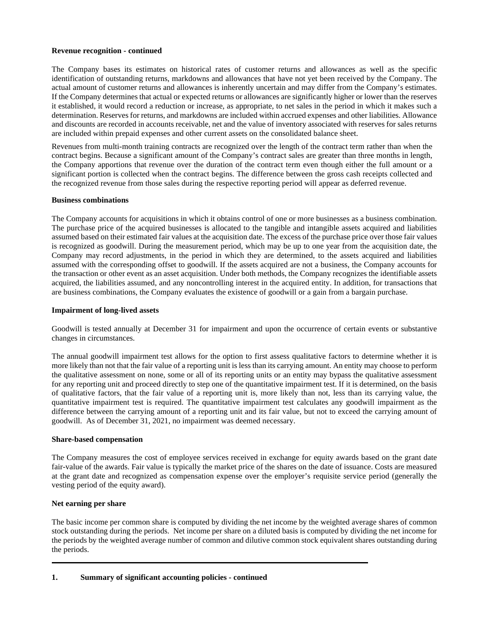#### **Revenue recognition - continued**

The Company bases its estimates on historical rates of customer returns and allowances as well as the specific identification of outstanding returns, markdowns and allowances that have not yet been received by the Company. The actual amount of customer returns and allowances is inherently uncertain and may differ from the Company's estimates. If the Company determines that actual or expected returns or allowances are significantly higher or lower than the reserves it established, it would record a reduction or increase, as appropriate, to net sales in the period in which it makes such a determination. Reserves for returns, and markdowns are included within accrued expenses and other liabilities. Allowance and discounts are recorded in accounts receivable, net and the value of inventory associated with reserves for sales returns are included within prepaid expenses and other current assets on the consolidated balance sheet.

Revenues from multi-month training contracts are recognized over the length of the contract term rather than when the contract begins. Because a significant amount of the Company's contract sales are greater than three months in length, the Company apportions that revenue over the duration of the contract term even though either the full amount or a significant portion is collected when the contract begins. The difference between the gross cash receipts collected and the recognized revenue from those sales during the respective reporting period will appear as deferred revenue.

#### **Business combinations**

The Company accounts for acquisitions in which it obtains control of one or more businesses as a business combination. The purchase price of the acquired businesses is allocated to the tangible and intangible assets acquired and liabilities assumed based on their estimated fair values at the acquisition date. The excess of the purchase price over those fair values is recognized as goodwill. During the measurement period, which may be up to one year from the acquisition date, the Company may record adjustments, in the period in which they are determined, to the assets acquired and liabilities assumed with the corresponding offset to goodwill. If the assets acquired are not a business, the Company accounts for the transaction or other event as an asset acquisition. Under both methods, the Company recognizes the identifiable assets acquired, the liabilities assumed, and any noncontrolling interest in the acquired entity. In addition, for transactions that are business combinations, the Company evaluates the existence of goodwill or a gain from a bargain purchase.

#### **Impairment of long-lived assets**

Goodwill is tested annually at December 31 for impairment and upon the occurrence of certain events or substantive changes in circumstances.

The annual goodwill impairment test allows for the option to first assess qualitative factors to determine whether it is more likely than not that the fair value of a reporting unit is less than its carrying amount. An entity may choose to perform the qualitative assessment on none, some or all of its reporting units or an entity may bypass the qualitative assessment for any reporting unit and proceed directly to step one of the quantitative impairment test. If it is determined, on the basis of qualitative factors, that the fair value of a reporting unit is, more likely than not, less than its carrying value, the quantitative impairment test is required. The quantitative impairment test calculates any goodwill impairment as the difference between the carrying amount of a reporting unit and its fair value, but not to exceed the carrying amount of goodwill. As of December 31, 2021, no impairment was deemed necessary.

#### **Share-based compensation**

The Company measures the cost of employee services received in exchange for equity awards based on the grant date fair-value of the awards. Fair value is typically the market price of the shares on the date of issuance. Costs are measured at the grant date and recognized as compensation expense over the employer's requisite service period (generally the vesting period of the equity award).

#### **Net earning per share**

The basic income per common share is computed by dividing the net income by the weighted average shares of common stock outstanding during the periods. Net income per share on a diluted basis is computed by dividing the net income for the periods by the weighted average number of common and dilutive common stock equivalent shares outstanding during the periods.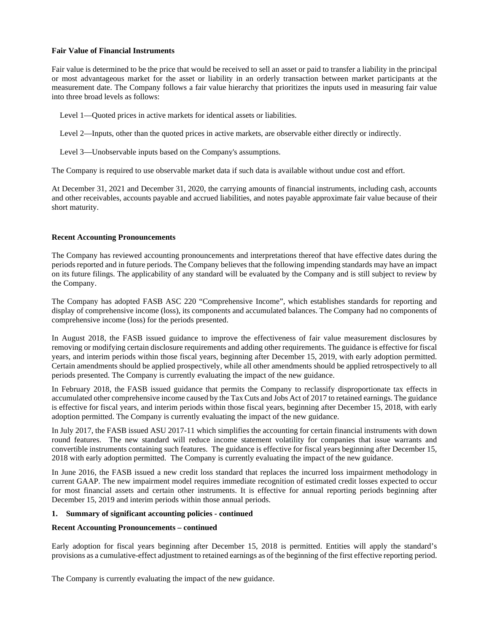#### **Fair Value of Financial Instruments**

Fair value is determined to be the price that would be received to sell an asset or paid to transfer a liability in the principal or most advantageous market for the asset or liability in an orderly transaction between market participants at the measurement date. The Company follows a fair value hierarchy that prioritizes the inputs used in measuring fair value into three broad levels as follows:

Level 1—Quoted prices in active markets for identical assets or liabilities.

Level 2—Inputs, other than the quoted prices in active markets, are observable either directly or indirectly.

Level 3—Unobservable inputs based on the Company's assumptions.

The Company is required to use observable market data if such data is available without undue cost and effort.

At December 31, 2021 and December 31, 2020, the carrying amounts of financial instruments, including cash, accounts and other receivables, accounts payable and accrued liabilities, and notes payable approximate fair value because of their short maturity.

#### **Recent Accounting Pronouncements**

The Company has reviewed accounting pronouncements and interpretations thereof that have effective dates during the periods reported and in future periods. The Company believes that the following impending standards may have an impact on its future filings. The applicability of any standard will be evaluated by the Company and is still subject to review by the Company.

The Company has adopted FASB ASC 220 "Comprehensive Income", which establishes standards for reporting and display of comprehensive income (loss), its components and accumulated balances. The Company had no components of comprehensive income (loss) for the periods presented.

In August 2018, the FASB issued guidance to improve the effectiveness of fair value measurement disclosures by removing or modifying certain disclosure requirements and adding other requirements. The guidance is effective for fiscal years, and interim periods within those fiscal years, beginning after December 15, 2019, with early adoption permitted. Certain amendments should be applied prospectively, while all other amendments should be applied retrospectively to all periods presented. The Company is currently evaluating the impact of the new guidance.

In February 2018, the FASB issued guidance that permits the Company to reclassify disproportionate tax effects in accumulated other comprehensive income caused by the Tax Cuts and Jobs Act of 2017 to retained earnings. The guidance is effective for fiscal years, and interim periods within those fiscal years, beginning after December 15, 2018, with early adoption permitted. The Company is currently evaluating the impact of the new guidance.

In July 2017, the FASB issued ASU 2017-11 which simplifies the accounting for certain financial instruments with down round features. The new standard will reduce income statement volatility for companies that issue warrants and convertible instruments containing such features. The guidance is effective for fiscal years beginning after December 15, 2018 with early adoption permitted. The Company is currently evaluating the impact of the new guidance.

In June 2016, the FASB issued a new credit loss standard that replaces the incurred loss impairment methodology in current GAAP. The new impairment model requires immediate recognition of estimated credit losses expected to occur for most financial assets and certain other instruments. It is effective for annual reporting periods beginning after December 15, 2019 and interim periods within those annual periods.

#### **1. Summary of significant accounting policies - continued**

#### **Recent Accounting Pronouncements – continued**

Early adoption for fiscal years beginning after December 15, 2018 is permitted. Entities will apply the standard's provisions as a cumulative-effect adjustment to retained earnings as of the beginning of the first effective reporting period.

The Company is currently evaluating the impact of the new guidance.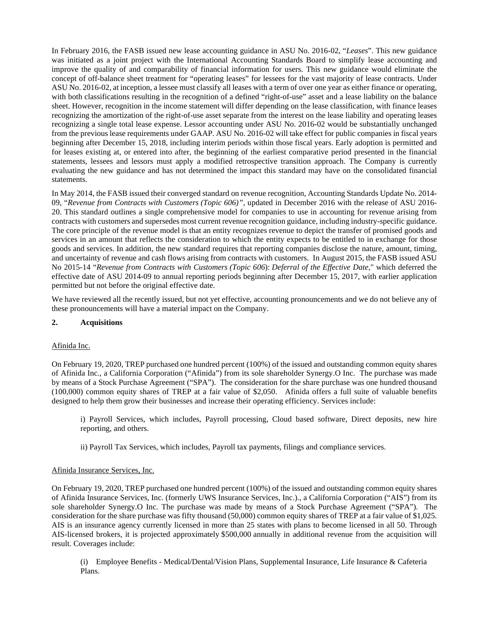In February 2016, the FASB issued new lease accounting guidance in ASU No. 2016-02, "*Leases*". This new guidance was initiated as a joint project with the International Accounting Standards Board to simplify lease accounting and improve the quality of and comparability of financial information for users. This new guidance would eliminate the concept of off-balance sheet treatment for "operating leases" for lessees for the vast majority of lease contracts. Under ASU No. 2016-02, at inception, a lessee must classify all leases with a term of over one year as either finance or operating, with both classifications resulting in the recognition of a defined "right-of-use" asset and a lease liability on the balance sheet. However, recognition in the income statement will differ depending on the lease classification, with finance leases recognizing the amortization of the right-of-use asset separate from the interest on the lease liability and operating leases recognizing a single total lease expense. Lessor accounting under ASU No. 2016-02 would be substantially unchanged from the previous lease requirements under GAAP. ASU No. 2016-02 will take effect for public companies in fiscal years beginning after December 15, 2018, including interim periods within those fiscal years. Early adoption is permitted and for leases existing at, or entered into after, the beginning of the earliest comparative period presented in the financial statements, lessees and lessors must apply a modified retrospective transition approach. The Company is currently evaluating the new guidance and has not determined the impact this standard may have on the consolidated financial statements.

In May 2014, the FASB issued their converged standard on revenue recognition, Accounting Standards Update No. 2014- 09, "*Revenue from Contracts with Customers (Topic 606)"*, updated in December 2016 with the release of ASU 2016- 20. This standard outlines a single comprehensive model for companies to use in accounting for revenue arising from contracts with customers and supersedes most current revenue recognition guidance, including industry-specific guidance. The core principle of the revenue model is that an entity recognizes revenue to depict the transfer of promised goods and services in an amount that reflects the consideration to which the entity expects to be entitled to in exchange for those goods and services. In addition, the new standard requires that reporting companies disclose the nature, amount, timing, and uncertainty of revenue and cash flows arising from contracts with customers. In August 2015, the FASB issued ASU No 2015-14 "*Revenue from Contracts with Customers (Topic 606*): *Deferral of the Effective Date,*" which deferred the effective date of ASU 2014-09 to annual reporting periods beginning after December 15, 2017, with earlier application permitted but not before the original effective date.

We have reviewed all the recently issued, but not yet effective, accounting pronouncements and we do not believe any of these pronouncements will have a material impact on the Company.

#### **2. Acquisitions**

#### Afinida Inc.

On February 19, 2020, TREP purchased one hundred percent (100%) of the issued and outstanding common equity shares of Afinida Inc., a California Corporation ("Afinida") from its sole shareholder Synergy.O Inc. The purchase was made by means of a Stock Purchase Agreement ("SPA"). The consideration for the share purchase was one hundred thousand (100,000) common equity shares of TREP at a fair value of \$2,050. Afinida offers a full suite of valuable benefits designed to help them grow their businesses and increase their operating efficiency. Services include:

i) Payroll Services, which includes, Payroll processing, Cloud based software, Direct deposits, new hire reporting, and others.

ii) Payroll Tax Services, which includes, Payroll tax payments, filings and compliance services.

#### Afinida Insurance Services, Inc.

On February 19, 2020, TREP purchased one hundred percent (100%) of the issued and outstanding common equity shares of Afinida Insurance Services, Inc. (formerly UWS Insurance Services, Inc.)., a California Corporation ("AIS") from its sole shareholder Synergy.O Inc. The purchase was made by means of a Stock Purchase Agreement ("SPA"). The consideration for the share purchase was fifty thousand (50,000) common equity shares of TREP at a fair value of \$1,025. AIS is an insurance agency currently licensed in more than 25 states with plans to become licensed in all 50. Through AIS-licensed brokers, it is projected approximately \$500,000 annually in additional revenue from the acquisition will result. Coverages include:

(i) Employee Benefits - Medical/Dental/Vision Plans, Supplemental Insurance, Life Insurance & Cafeteria Plans.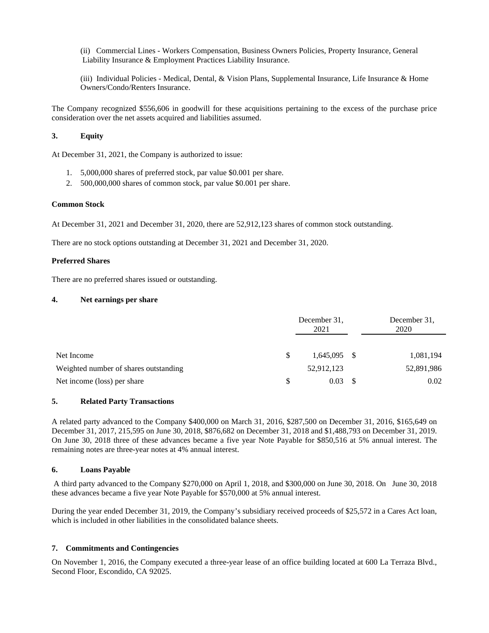(ii) Commercial Lines - Workers Compensation, Business Owners Policies, Property Insurance, General Liability Insurance & Employment Practices Liability Insurance.

(iii) Individual Policies - Medical, Dental, & Vision Plans, Supplemental Insurance, Life Insurance & Home Owners/Condo/Renters Insurance.

The Company recognized \$556,606 in goodwill for these acquisitions pertaining to the excess of the purchase price consideration over the net assets acquired and liabilities assumed.

#### **3. Equity**

At December 31, 2021, the Company is authorized to issue:

- 1. 5,000,000 shares of preferred stock, par value \$0.001 per share.
- 2. 500,000,000 shares of common stock, par value \$0.001 per share.

#### **Common Stock**

At December 31, 2021 and December 31, 2020, there are 52,912,123 shares of common stock outstanding.

There are no stock options outstanding at December 31, 2021 and December 31, 2020.

#### **Preferred Shares**

There are no preferred shares issued or outstanding.

#### **4. Net earnings per share**

|                                       | December 31.<br>2021 | December 31.<br>2020 |  |  |
|---------------------------------------|----------------------|----------------------|--|--|
| Net Income                            | $1,645,095$ \$       | 1,081,194            |  |  |
| Weighted number of shares outstanding | 52,912,123           | 52,891,986           |  |  |
| Net income (loss) per share           | 0.03                 | 0.02                 |  |  |

#### **5. Related Party Transactions**

A related party advanced to the Company \$400,000 on March 31, 2016, \$287,500 on December 31, 2016, \$165,649 on December 31, 2017, 215,595 on June 30, 2018, \$876,682 on December 31, 2018 and \$1,488,793 on December 31, 2019. On June 30, 2018 three of these advances became a five year Note Payable for \$850,516 at 5% annual interest. The remaining notes are three-year notes at 4% annual interest.

#### **6. Loans Payable**

A third party advanced to the Company \$270,000 on April 1, 2018, and \$300,000 on June 30, 2018. On June 30, 2018 these advances became a five year Note Payable for \$570,000 at 5% annual interest.

During the year ended December 31, 2019, the Company's subsidiary received proceeds of \$25,572 in a Cares Act loan, which is included in other liabilities in the consolidated balance sheets.

#### **7. Commitments and Contingencies**

On November 1, 2016, the Company executed a three-year lease of an office building located at 600 La Terraza Blvd., Second Floor, Escondido, CA 92025.